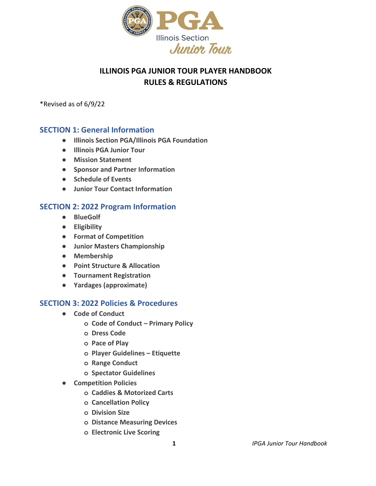

## **ILLINOIS PGA JUNIOR TOUR PLAYER HANDBOOK RULES & REGULATIONS**

\*Revised as of 6/9/22

## **SECTION 1: General Information**

- **● Illinois Section PGA/Illinois PGA Foundation**
- **● Illinois PGA Junior Tour**
- **● Mission Statement**
- **● Sponsor and Partner Information**
- **● Schedule of Events**
- **● Junior Tour Contact Information**

## **SECTION 2: 2022 Program Information**

- **● BlueGolf**
- **● Eligibility**
- **● Format of Competition**
- **● Junior Masters Championship**
- **● Membership**
- **● Point Structure & Allocation**
- **● Tournament Registration**
- **● Yardages (approximate)**

## **SECTION 3: 2022 Policies & Procedures**

- **● Code of Conduct**
	- **o Code of Conduct Primary Policy**
	- **o Dress Code**
	- **o Pace of Play**
	- **o Player Guidelines Etiquette**
	- **o Range Conduct**
	- **o Spectator Guidelines**
- **● Competition Policies**
	- **o Caddies & Motorized Carts**
	- **o Cancellation Policy**
	- **o Division Size**
	- **o Distance Measuring Devices**
	- **o Electronic Live Scoring**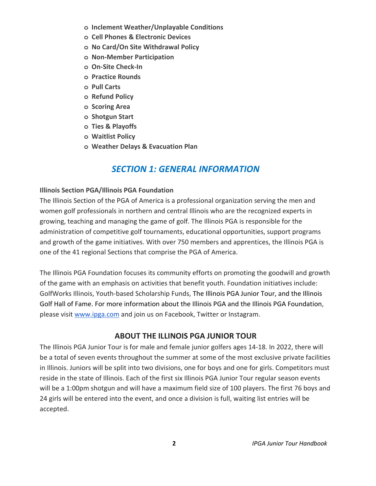- **o Inclement Weather/Unplayable Conditions**
- **o Cell Phones & Electronic Devices**
- **o No Card/On Site Withdrawal Policy**
- **o Non-Member Participation**
- **o On-Site Check-In**
- **o Practice Rounds**
- **o Pull Carts**
- **o Refund Policy**
- **o Scoring Area**
- **o Shotgun Start**
- **o Ties & Playoffs**
- **o Waitlist Policy**
- **o Weather Delays & Evacuation Plan**

## *SECTION 1: GENERAL INFORMATION*

#### **Illinois Section PGA/Illinois PGA Foundation**

The Illinois Section of the PGA of America is a professional organization serving the men and women golf professionals in northern and central Illinois who are the recognized experts in growing, teaching and managing the game of golf. The Illinois PGA is responsible for the administration of competitive golf tournaments, educational opportunities, support programs and growth of the game initiatives. With over 750 members and apprentices, the Illinois PGA is one of the 41 regional Sections that comprise the PGA of America.

The Illinois PGA Foundation focuses its community efforts on promoting the goodwill and growth of the game with an emphasis on activities that benefit youth. Foundation initiatives include: GolfWorks Illinois, Youth-based Scholarship Funds, The Illinois PGA Junior Tour, and the Illinois Golf Hall of Fame. For more information about the Illinois PGA and the Illinois PGA Foundation, please visit [www.ipga.com](http://www.ipga.com/) and join us on Facebook, Twitter or Instagram.

## **ABOUT THE ILLINOIS PGA JUNIOR TOUR**

The Illinois PGA Junior Tour is for male and female junior golfers ages 14-18. In 2022, there will be a total of seven events throughout the summer at some of the most exclusive private facilities in Illinois. Juniors will be split into two divisions, one for boys and one for girls. Competitors must reside in the state of Illinois. Each of the first six Illinois PGA Junior Tour regular season events will be a 1:00pm shotgun and will have a maximum field size of 100 players. The first 76 boys and 24 girls will be entered into the event, and once a division is full, waiting list entries will be accepted.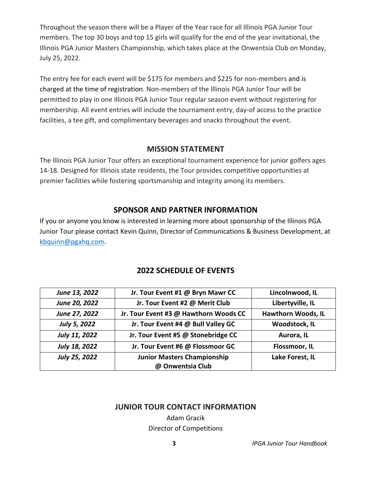Throughout the season there will be a Player of the Year race for all Illinois PGA Junior Tour members. The top 30 boys and top 15 girls will qualify for the end of the year invitational, the Illinois PGA Junior Masters Championship, which takes place at the Onwentsia Club on Monday, July 25, 2022.

The entry fee for each event will be \$175 for members and \$225 for non-members and is charged at the time of registration. Non-members of the Illinois PGA Junior Tour will be permitted to play in one Illinois PGA Junior Tour regular season event without registering for membership. All event entries will include the tournament entry, day-of access to the practice facilities, a tee gift, and complimentary beverages and snacks throughout the event.

## **MISSION STATEMENT**

The Illinois PGA Junior Tour offers an exceptional tournament experience for junior golfers ages 14-18. Designed for Illinois state residents, the Tour provides competitive opportunities at premier facilities while fostering sportsmanship and integrity among its members.

#### **SPONSOR AND PARTNER INFORMATION**

If you or anyone you know is interested in learning more about sponsorship of the Illinois PGA Junior Tour please contact Kevin Quinn, Director of Communications & Business Development, at [kbquinn@pgahq.com.](mailto:kbquinn@pgahq.com)

| June 13, 2022 | Jr. Tour Event #1 @ Bryn Mawr CC      | Lincolnwood, IL           |
|---------------|---------------------------------------|---------------------------|
| June 20, 2022 | Jr. Tour Event #2 @ Merit Club        | Libertyville, IL          |
| June 27, 2022 | Jr. Tour Event #3 @ Hawthorn Woods CC | <b>Hawthorn Woods, IL</b> |
| July 5, 2022  | Jr. Tour Event #4 @ Bull Valley GC    | Woodstock, IL             |
| July 11, 2022 | Jr. Tour Event #5 @ Stonebridge CC    | Aurora, IL                |
| July 18, 2022 | Jr. Tour Event #6 @ Flossmoor GC      | Flossmoor, IL             |
| July 25, 2022 | <b>Junior Masters Championship</b>    | Lake Forest, IL           |
|               | @ Onwentsia Club                      |                           |

## **2022 SCHEDULE OF EVENTS**

#### **JUNIOR TOUR CONTACT INFORMATION**

Adam Gracik Director of Competitions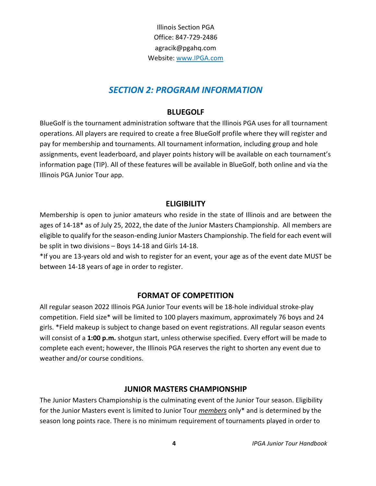Illinois Section PGA Office: 847-729-2486 agracik@pgahq.com Website: [www.IPGA.com](http://www.ipga.com/)

## *SECTION 2: PROGRAM INFORMATION*

#### **BLUEGOLF**

BlueGolf is the tournament administration software that the Illinois PGA uses for all tournament operations. All players are required to create a free BlueGolf profile where they will register and pay for membership and tournaments. All tournament information, including group and hole assignments, event leaderboard, and player points history will be available on each tournament's information page (TIP). All of these features will be available in BlueGolf, both online and via the Illinois PGA Junior Tour app.

#### **ELIGIBILITY**

Membership is open to junior amateurs who reside in the state of Illinois and are between the ages of 14-18\* as of July 25, 2022, the date of the Junior Masters Championship. All members are eligible to qualify for the season-ending Junior Masters Championship. The field for each event will be split in two divisions – Boys 14-18 and Girls 14-18.

\*If you are 13-years old and wish to register for an event, your age as of the event date MUST be between 14-18 years of age in order to register.

#### **FORMAT OF COMPETITION**

All regular season 2022 Illinois PGA Junior Tour events will be 18-hole individual stroke-play competition. Field size\* will be limited to 100 players maximum, approximately 76 boys and 24 girls. \*Field makeup is subject to change based on event registrations. All regular season events will consist of a **1:00 p.m.** shotgun start, unless otherwise specified. Every effort will be made to complete each event; however, the Illinois PGA reserves the right to shorten any event due to weather and/or course conditions.

#### **JUNIOR MASTERS CHAMPIONSHIP**

The Junior Masters Championship is the culminating event of the Junior Tour season. Eligibility for the Junior Masters event is limited to Junior Tour *members* only\* and is determined by the season long points race. There is no minimum requirement of tournaments played in order to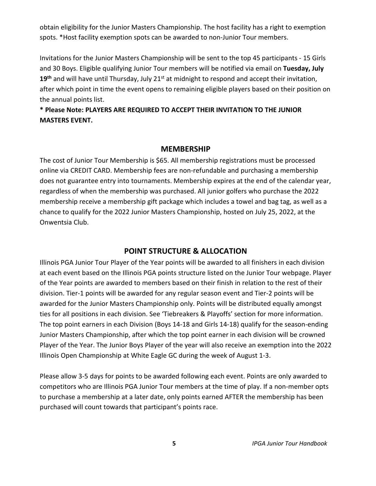obtain eligibility for the Junior Masters Championship. The host facility has a right to exemption spots. \*Host facility exemption spots can be awarded to non-Junior Tour members.

Invitations for the Junior Masters Championship will be sent to the top 45 participants - 15 Girls and 30 Boys. Eligible qualifying Junior Tour members will be notified via email on **Tuesday, July** 19<sup>th</sup> and will have until Thursday, July 21<sup>st</sup> at midnight to respond and accept their invitation, after which point in time the event opens to remaining eligible players based on their position on the annual points list.

**\* Please Note: PLAYERS ARE REQUIRED TO ACCEPT THEIR INVITATION TO THE JUNIOR MASTERS EVENT.**

#### **MEMBERSHIP**

The cost of Junior Tour Membership is \$65. All membership registrations must be processed online via CREDIT CARD. Membership fees are non-refundable and purchasing a membership does not guarantee entry into tournaments. Membership expires at the end of the calendar year, regardless of when the membership was purchased. All junior golfers who purchase the 2022 membership receive a membership gift package which includes a towel and bag tag, as well as a chance to qualify for the 2022 Junior Masters Championship, hosted on July 25, 2022, at the Onwentsia Club.

#### **POINT STRUCTURE & ALLOCATION**

Illinois PGA Junior Tour Player of the Year points will be awarded to all finishers in each division at each event based on the Illinois PGA points structure listed on the Junior Tour webpage. Player of the Year points are awarded to members based on their finish in relation to the rest of their division. Tier-1 points will be awarded for any regular season event and Tier-2 points will be awarded for the Junior Masters Championship only. Points will be distributed equally amongst ties for all positions in each division. See 'Tiebreakers & Playoffs' section for more information. The top point earners in each Division (Boys 14-18 and Girls 14-18) qualify for the season-ending Junior Masters Championship, after which the top point earner in each division will be crowned Player of the Year. The Junior Boys Player of the year will also receive an exemption into the 2022 Illinois Open Championship at White Eagle GC during the week of August 1-3.

Please allow 3-5 days for points to be awarded following each event. Points are only awarded to competitors who are Illinois PGA Junior Tour members at the time of play. If a non-member opts to purchase a membership at a later date, only points earned AFTER the membership has been purchased will count towards that participant's points race.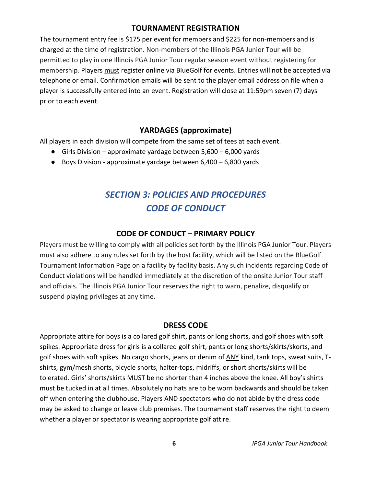## **TOURNAMENT REGISTRATION**

The tournament entry fee is \$175 per event for members and \$225 for non-members and is charged at the time of registration. Non-members of the Illinois PGA Junior Tour will be permitted to play in one Illinois PGA Junior Tour regular season event without registering for membership. Players must register online via BlueGolf for events. Entries will not be accepted via telephone or email. Confirmation emails will be sent to the player email address on file when a player is successfully entered into an event. Registration will close at 11:59pm seven (7) days prior to each event.

## **YARDAGES (approximate)**

All players in each division will compete from the same set of tees at each event.

- Girls Division approximate yardage between 5,600 6,000 yards
- Boys Division approximate yardage between 6,400 6,800 yards

# *SECTION 3: POLICIES AND PROCEDURES CODE OF CONDUCT*

## **CODE OF CONDUCT – PRIMARY POLICY**

Players must be willing to comply with all policies set forth by the Illinois PGA Junior Tour. Players must also adhere to any rules set forth by the host facility, which will be listed on the BlueGolf Tournament Information Page on a facility by facility basis. Any such incidents regarding Code of Conduct violations will be handled immediately at the discretion of the onsite Junior Tour staff and officials. The Illinois PGA Junior Tour reserves the right to warn, penalize, disqualify or suspend playing privileges at any time.

## **DRESS CODE**

Appropriate attire for boys is a collared golf shirt, pants or long shorts, and golf shoes with soft spikes. Appropriate dress for girls is a collared golf shirt, pants or long shorts/skirts/skorts, and golf shoes with soft spikes. No cargo shorts, jeans or denim of ANY kind, tank tops, sweat suits, Tshirts, gym/mesh shorts, bicycle shorts, halter-tops, midriffs, or short shorts/skirts will be tolerated. Girls' shorts/skirts MUST be no shorter than 4 inches above the knee. All boy's shirts must be tucked in at all times. Absolutely no hats are to be worn backwards and should be taken off when entering the clubhouse. Players AND spectators who do not abide by the dress code may be asked to change or leave club premises. The tournament staff reserves the right to deem whether a player or spectator is wearing appropriate golf attire.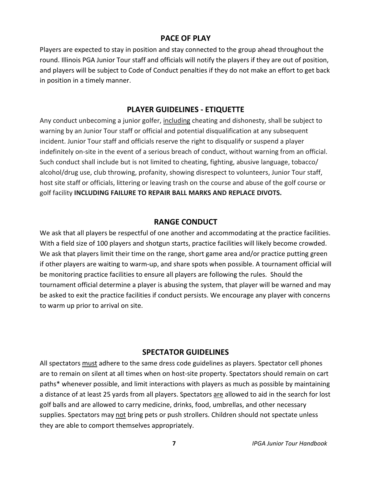#### **PACE OF PLAY**

Players are expected to stay in position and stay connected to the group ahead throughout the round. Illinois PGA Junior Tour staff and officials will notify the players if they are out of position, and players will be subject to Code of Conduct penalties if they do not make an effort to get back in position in a timely manner.

#### **PLAYER GUIDELINES - ETIQUETTE**

Any conduct unbecoming a junior golfer, including cheating and dishonesty, shall be subject to warning by an Junior Tour staff or official and potential disqualification at any subsequent incident. Junior Tour staff and officials reserve the right to disqualify or suspend a player indefinitely on-site in the event of a serious breach of conduct, without warning from an official. Such conduct shall include but is not limited to cheating, fighting, abusive language, tobacco/ alcohol/drug use, club throwing, profanity, showing disrespect to volunteers, Junior Tour staff, host site staff or officials, littering or leaving trash on the course and abuse of the golf course or golf facility **INCLUDING FAILURE TO REPAIR BALL MARKS AND REPLACE DIVOTS.**

#### **RANGE CONDUCT**

We ask that all players be respectful of one another and accommodating at the practice facilities. With a field size of 100 players and shotgun starts, practice facilities will likely become crowded. We ask that players limit their time on the range, short game area and/or practice putting green if other players are waiting to warm-up, and share spots when possible. A tournament official will be monitoring practice facilities to ensure all players are following the rules. Should the tournament official determine a player is abusing the system, that player will be warned and may be asked to exit the practice facilities if conduct persists. We encourage any player with concerns to warm up prior to arrival on site.

#### **SPECTATOR GUIDELINES**

All spectators must adhere to the same dress code guidelines as players. Spectator cell phones are to remain on silent at all times when on host-site property. Spectators should remain on cart paths\* whenever possible, and limit interactions with players as much as possible by maintaining a distance of at least 25 yards from all players. Spectators are allowed to aid in the search for lost golf balls and are allowed to carry medicine, drinks, food, umbrellas, and other necessary supplies. Spectators may not bring pets or push strollers. Children should not spectate unless they are able to comport themselves appropriately.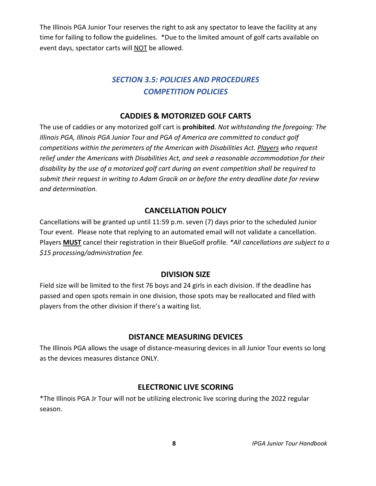The Illinois PGA Junior Tour reserves the right to ask any spectator to leave the facility at any time for failing to follow the guidelines. \*Due to the limited amount of golf carts available on event days, spectator carts will NOT be allowed.

## *SECTION 3.5: POLICIES AND PROCEDURES COMPETITION POLICIES*

## **CADDIES & MOTORIZED GOLF CARTS**

The use of caddies or any motorized golf cart is **prohibited**. *Not withstanding the foregoing: The Illinois PGA, Illinois PGA Junior Tour and PGA of America are committed to conduct golf competitions within the perimeters of the American with Disabilities Act. Players who request relief under the Americans with Disabilities Act, and seek a reasonable accommodation for their disability by the use of a motorized golf cart during an event competition shall be required to submit their request in writing to Adam Gracik on or before the entry deadline date for review and determination.* 

## **CANCELLATION POLICY**

Cancellations will be granted up until 11:59 p.m. seven (7) days prior to the scheduled Junior Tour event. Please note that replying to an automated email will not validate a cancellation. Players **MUST** cancel their registration in their BlueGolf profile. *\*All cancellations are subject to a \$15 processing/administration fee.* 

## **DIVISION SIZE**

Field size will be limited to the first 76 boys and 24 girls in each division. If the deadline has passed and open spots remain in one division, those spots may be reallocated and filed with players from the other division if there's a waiting list.

## **DISTANCE MEASURING DEVICES**

The Illinois PGA allows the usage of distance-measuring devices in all Junior Tour events so long as the devices measures distance ONLY.

## **ELECTRONIC LIVE SCORING**

\*The Illinois PGA Jr Tour will not be utilizing electronic live scoring during the 2022 regular season.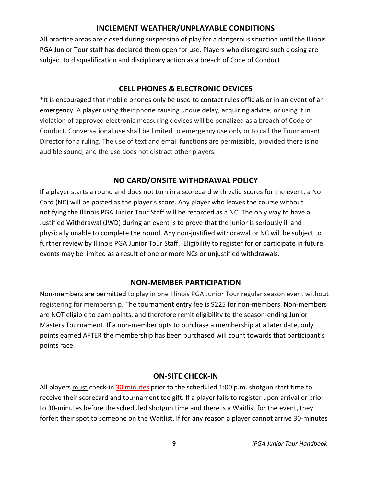## **INCLEMENT WEATHER/UNPLAYABLE CONDITIONS**

All practice areas are closed during suspension of play for a dangerous situation until the Illinois PGA Junior Tour staff has declared them open for use. Players who disregard such closing are subject to disqualification and disciplinary action as a breach of Code of Conduct.

## **CELL PHONES & ELECTRONIC DEVICES**

\*It is encouraged that mobile phones only be used to contact rules officials or in an event of an emergency. A player using their phone causing undue delay, acquiring advice, or using it in violation of approved electronic measuring devices will be penalized as a breach of Code of Conduct. Conversational use shall be limited to emergency use only or to call the Tournament Director for a ruling. The use of text and email functions are permissible, provided there is no audible sound, and the use does not distract other players.

## **NO CARD/ONSITE WITHDRAWAL POLICY**

If a player starts a round and does not turn in a scorecard with valid scores for the event, a No Card (NC) will be posted as the player's score. Any player who leaves the course without notifying the Illinois PGA Junior Tour Staff will be recorded as a NC. The only way to have a Justified Withdrawal (JWD) during an event is to prove that the junior is seriously ill and physically unable to complete the round. Any non-justified withdrawal or NC will be subject to further review by Illinois PGA Junior Tour Staff. Eligibility to register for or participate in future events may be limited as a result of one or more NCs or unjustified withdrawals.

## **NON-MEMBER PARTICIPATION**

Non-members are permitted to play in one Illinois PGA Junior Tour regular season event without registering for membership. The tournament entry fee is \$225 for non-members. Non-members are NOT eligible to earn points, and therefore remit eligibility to the season-ending Junior Masters Tournament. If a non-member opts to purchase a membership at a later date, only points earned AFTER the membership has been purchased will count towards that participant's points race.

## **ON-SITE CHECK-IN**

All players must check-in 30 minutes prior to the scheduled 1:00 p.m. shotgun start time to receive their scorecard and tournament tee gift. If a player fails to register upon arrival or prior to 30-minutes before the scheduled shotgun time and there is a Waitlist for the event, they forfeit their spot to someone on the Waitlist. If for any reason a player cannot arrive 30-minutes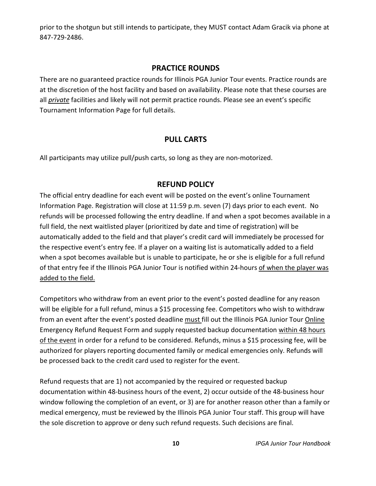prior to the shotgun but still intends to participate, they MUST contact Adam Gracik via phone at 847-729-2486.

## **PRACTICE ROUNDS**

There are no guaranteed practice rounds for Illinois PGA Junior Tour events. Practice rounds are at the discretion of the host facility and based on availability. Please note that these courses are all *private* facilities and likely will not permit practice rounds. Please see an event's specific Tournament Information Page for full details.

## **PULL CARTS**

All participants may utilize pull/push carts, so long as they are non-motorized.

## **REFUND POLICY**

The official entry deadline for each event will be posted on the event's online Tournament Information Page. Registration will close at 11:59 p.m. seven (7) days prior to each event. No refunds will be processed following the entry deadline. If and when a spot becomes available in a full field, the next waitlisted player (prioritized by date and time of registration) will be automatically added to the field and that player's credit card will immediately be processed for the respective event's entry fee. If a player on a waiting list is automatically added to a field when a spot becomes available but is unable to participate, he or she is eligible for a full refund of that entry fee if the Illinois PGA Junior Tour is notified within 24-hours of when the player was added to the field.

Competitors who withdraw from an event prior to the event's posted deadline for any reason will be eligible for a full refund, minus a \$15 processing fee. Competitors who wish to withdraw from an event after the event's posted deadline must fill out the Illinois PGA Junior Tour Online Emergency Refund Request Form and supply requested backup documentation within 48 hours of the event in order for a refund to be considered. Refunds, minus a \$15 processing fee, will be authorized for players reporting documented family or medical emergencies only. Refunds will be processed back to the credit card used to register for the event.

Refund requests that are 1) not accompanied by the required or requested backup documentation within 48-business hours of the event, 2) occur outside of the 48-business hour window following the completion of an event, or 3) are for another reason other than a family or medical emergency, must be reviewed by the Illinois PGA Junior Tour staff. This group will have the sole discretion to approve or deny such refund requests. Such decisions are final.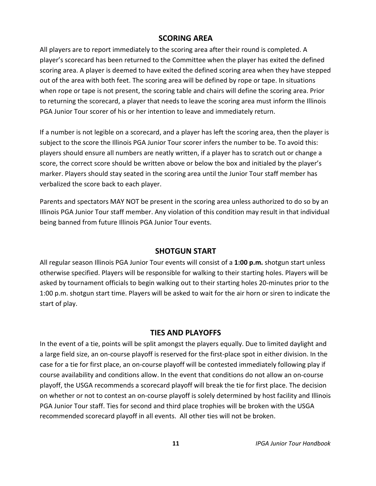#### **SCORING AREA**

All players are to report immediately to the scoring area after their round is completed. A player's scorecard has been returned to the Committee when the player has exited the defined scoring area. A player is deemed to have exited the defined scoring area when they have stepped out of the area with both feet. The scoring area will be defined by rope or tape. In situations when rope or tape is not present, the scoring table and chairs will define the scoring area. Prior to returning the scorecard, a player that needs to leave the scoring area must inform the Illinois PGA Junior Tour scorer of his or her intention to leave and immediately return.

If a number is not legible on a scorecard, and a player has left the scoring area, then the player is subject to the score the Illinois PGA Junior Tour scorer infers the number to be. To avoid this: players should ensure all numbers are neatly written, if a player has to scratch out or change a score, the correct score should be written above or below the box and initialed by the player's marker. Players should stay seated in the scoring area until the Junior Tour staff member has verbalized the score back to each player.

Parents and spectators MAY NOT be present in the scoring area unless authorized to do so by an Illinois PGA Junior Tour staff member. Any violation of this condition may result in that individual being banned from future Illinois PGA Junior Tour events.

#### **SHOTGUN START**

All regular season Illinois PGA Junior Tour events will consist of a **1:00 p.m.** shotgun start unless otherwise specified. Players will be responsible for walking to their starting holes. Players will be asked by tournament officials to begin walking out to their starting holes 20-minutes prior to the 1:00 p.m. shotgun start time. Players will be asked to wait for the air horn or siren to indicate the start of play.

#### **TIES AND PLAYOFFS**

In the event of a tie, points will be split amongst the players equally. Due to limited daylight and a large field size, an on-course playoff is reserved for the first-place spot in either division. In the case for a tie for first place, an on-course playoff will be contested immediately following play if course availability and conditions allow. In the event that conditions do not allow an on-course playoff, the USGA recommends a scorecard playoff will break the tie for first place. The decision on whether or not to contest an on-course playoff is solely determined by host facility and Illinois PGA Junior Tour staff. Ties for second and third place trophies will be broken with the USGA recommended scorecard playoff in all events. All other ties will not be broken.